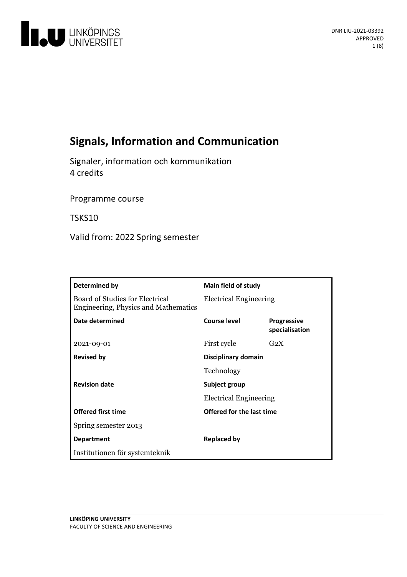

# **Signals, Information and Communication**

Signaler, information och kommunikation 4 credits

Programme course

TSKS10

Valid from: 2022 Spring semester

| Determined by                                                           | Main field of study                            |                                      |
|-------------------------------------------------------------------------|------------------------------------------------|--------------------------------------|
| Board of Studies for Electrical<br>Engineering, Physics and Mathematics | <b>Electrical Engineering</b>                  |                                      |
| Date determined                                                         | Course level                                   | <b>Progressive</b><br>specialisation |
| 2021-09-01                                                              | First cycle                                    | G <sub>2</sub> X                     |
| <b>Revised by</b>                                                       | Disciplinary domain                            |                                      |
|                                                                         | Technology                                     |                                      |
| <b>Revision date</b>                                                    | Subject group<br><b>Electrical Engineering</b> |                                      |
|                                                                         |                                                |                                      |
| <b>Offered first time</b>                                               | Offered for the last time                      |                                      |
| Spring semester 2013                                                    |                                                |                                      |
| <b>Department</b>                                                       | <b>Replaced by</b>                             |                                      |
| Institutionen för systemteknik                                          |                                                |                                      |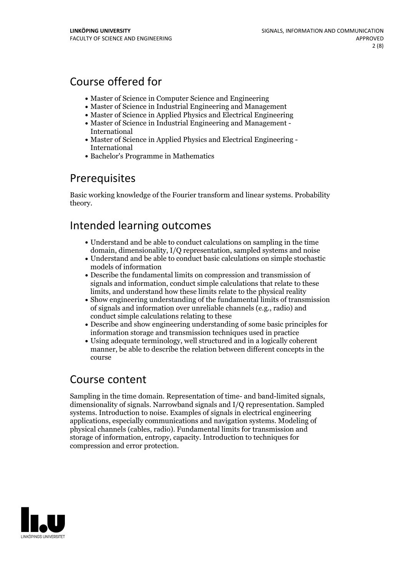# Course offered for

- Master of Science in Computer Science and Engineering
- Master of Science in Industrial Engineering and Management
- Master of Science in Applied Physics and Electrical Engineering
- Master of Science in Industrial Engineering and Management International
- Master of Science in Applied Physics and Electrical Engineering International
- Bachelor's Programme in Mathematics

## **Prerequisites**

Basic working knowledge of the Fourier transform and linear systems. Probability theory.

# Intended learning outcomes

- Understand and be able to conduct calculations on sampling in the time domain, dimensionality, I/Q representation, sampled systems and noise
- Understand and be able to conduct basic calculations on simple stochastic models of information
- Describe the fundamental limits on compression and transmission of signals and information, conduct simple calculations that relate to these limits, and understand how these limits relate to the physical reality
- Show engineering understanding of the fundamental limits of transmission of signals and information over unreliable channels (e.g., radio) and conduct simple calculations relating to these
- Describe and show engineering understanding of some basic principles for information storage and transmission techniques used in practice
- Using adequate terminology, well structured and in a logically coherent manner, be able to describe the relation between different concepts in the course

## Course content

Sampling in the time domain. Representation of time- and band-limited signals, dimensionality of signals. Narrowband signals and I/Q representation. Sampled systems. Introduction to noise. Examples of signals in electrical engineering applications, especially communications and navigation systems. Modeling of physical channels (cables, radio). Fundamental limits for transmission and storage of information, entropy, capacity. Introduction to techniques for compression and error protection.

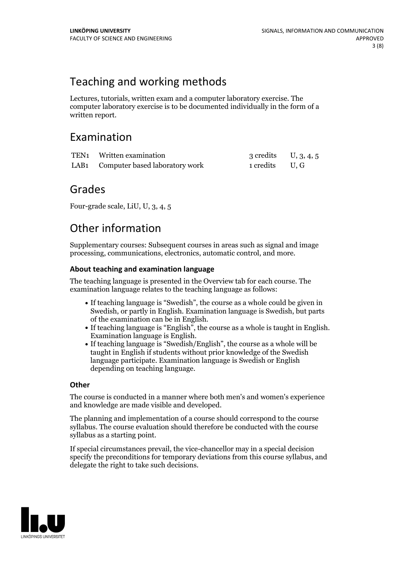# Teaching and working methods

Lectures, tutorials, written exam and a computer laboratory exercise. The computer laboratory exercise is to be documented individually in the form of a written report.

## Examination

| TEN1 Written examination            | 3 credits $U, 3, 4, 5$ |  |
|-------------------------------------|------------------------|--|
| LAB1 Computer based laboratory work | 1 credits U.G          |  |

## Grades

Four-grade scale, LiU, U, 3, 4, 5

# Other information

Supplementary courses: Subsequent courses in areas such as signal and image processing, communications, electronics, automatic control, and more.

## **About teaching and examination language**

The teaching language is presented in the Overview tab for each course. The examination language relates to the teaching language as follows:

- If teaching language is "Swedish", the course as a whole could be given in Swedish, or partly in English. Examination language is Swedish, but parts
- of the examination can be in English. If teaching language is "English", the course as <sup>a</sup> whole is taught in English. Examination language is English. If teaching language is "Swedish/English", the course as <sup>a</sup> whole will be
- taught in English if students without prior knowledge of the Swedish language participate. Examination language is Swedish or English depending on teaching language.

### **Other**

The course is conducted in a manner where both men's and women's experience and knowledge are made visible and developed.

The planning and implementation of a course should correspond to the course syllabus. The course evaluation should therefore be conducted with the course syllabus as a starting point.

If special circumstances prevail, the vice-chancellor may in a special decision specify the preconditions for temporary deviations from this course syllabus, and delegate the right to take such decisions.

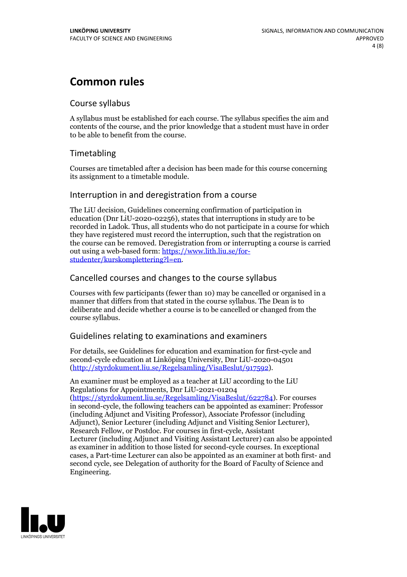# **Common rules**

### Course syllabus

A syllabus must be established for each course. The syllabus specifies the aim and contents of the course, and the prior knowledge that a student must have in order to be able to benefit from the course.

## Timetabling

Courses are timetabled after a decision has been made for this course concerning its assignment to a timetable module.

### Interruption in and deregistration from a course

The LiU decision, Guidelines concerning confirmation of participation in education (Dnr LiU-2020-02256), states that interruptions in study are to be recorded in Ladok. Thus, all students who do not participate in a course for which they have registered must record the interruption, such that the registration on the course can be removed. Deregistration from or interrupting a course is carried out using <sup>a</sup> web-based form: https://www.lith.liu.se/for- [studenter/kurskomplettering?l=en.](https://www.lith.liu.se/for-studenter/kurskomplettering?l=en)

## Cancelled coursesand changes to the course syllabus

Courses with few participants (fewer than 10) may be cancelled or organised in a manner that differs from that stated in the course syllabus. The Dean is to deliberate and decide whether a course is to be cancelled or changed from the course syllabus.

## Guidelines relating to examinations and examiners

For details, see Guidelines for education and examination for first-cycle and second-cycle education at Linköping University, Dnr LiU-2020-04501 [\(http://styrdokument.liu.se/Regelsamling/VisaBeslut/917592\)](http://styrdokument.liu.se/Regelsamling/VisaBeslut/917592).

An examiner must be employed as a teacher at LiU according to the LiU Regulations for Appointments, Dnr LiU-2021-01204 [\(https://styrdokument.liu.se/Regelsamling/VisaBeslut/622784](https://styrdokument.liu.se/Regelsamling/VisaBeslut/622784)). For courses in second-cycle, the following teachers can be appointed as examiner: Professor (including Adjunct and Visiting Professor), Associate Professor (including Adjunct), Senior Lecturer (including Adjunct and Visiting Senior Lecturer), Research Fellow, or Postdoc. For courses in first-cycle, Assistant Lecturer (including Adjunct and Visiting Assistant Lecturer) can also be appointed as examiner in addition to those listed for second-cycle courses. In exceptional cases, a Part-time Lecturer can also be appointed as an examiner at both first- and second cycle, see Delegation of authority for the Board of Faculty of Science and Engineering.

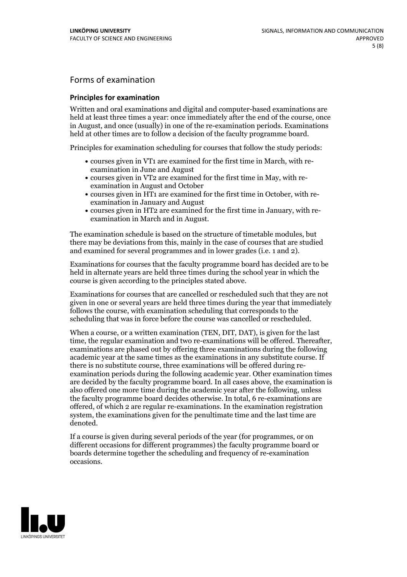## Forms of examination

#### **Principles for examination**

Written and oral examinations and digital and computer-based examinations are held at least three times a year: once immediately after the end of the course, once in August, and once (usually) in one of the re-examination periods. Examinations held at other times are to follow a decision of the faculty programme board.

Principles for examination scheduling for courses that follow the study periods:

- courses given in VT1 are examined for the first time in March, with re-examination in June and August
- courses given in VT2 are examined for the first time in May, with re-examination in August and October
- courses given in HT1 are examined for the first time in October, with re-examination in January and August
- courses given in HT2 are examined for the first time in January, with re-examination in March and in August.

The examination schedule is based on the structure of timetable modules, but there may be deviations from this, mainly in the case of courses that are studied and examined for several programmes and in lower grades (i.e. 1 and 2).

Examinations for courses that the faculty programme board has decided are to be held in alternate years are held three times during the school year in which the course is given according to the principles stated above.

Examinations for courses that are cancelled orrescheduled such that they are not given in one or several years are held three times during the year that immediately follows the course, with examination scheduling that corresponds to the scheduling that was in force before the course was cancelled or rescheduled.

When a course, or a written examination (TEN, DIT, DAT), is given for the last time, the regular examination and two re-examinations will be offered. Thereafter, examinations are phased out by offering three examinations during the following academic year at the same times as the examinations in any substitute course. If there is no substitute course, three examinations will be offered during re- examination periods during the following academic year. Other examination times are decided by the faculty programme board. In all cases above, the examination is also offered one more time during the academic year after the following, unless the faculty programme board decides otherwise. In total, 6 re-examinations are offered, of which 2 are regular re-examinations. In the examination registration system, the examinations given for the penultimate time and the last time are denoted.

If a course is given during several periods of the year (for programmes, or on different occasions for different programmes) the faculty programme board or boards determine together the scheduling and frequency of re-examination occasions.

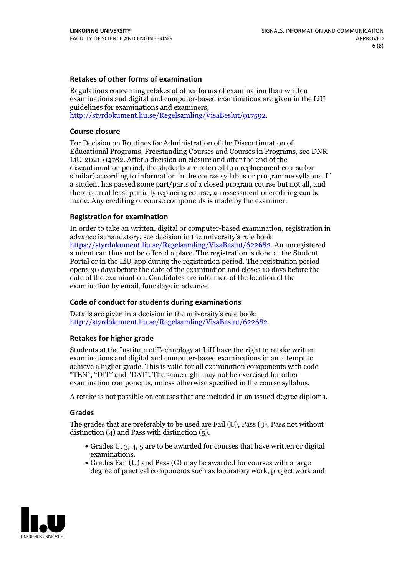### **Retakes of other forms of examination**

Regulations concerning retakes of other forms of examination than written examinations and digital and computer-based examinations are given in the LiU guidelines for examinations and examiners, [http://styrdokument.liu.se/Regelsamling/VisaBeslut/917592.](http://styrdokument.liu.se/Regelsamling/VisaBeslut/917592)

#### **Course closure**

For Decision on Routines for Administration of the Discontinuation of Educational Programs, Freestanding Courses and Courses in Programs, see DNR LiU-2021-04782. After a decision on closure and after the end of the discontinuation period, the students are referred to a replacement course (or similar) according to information in the course syllabus or programme syllabus. If a student has passed some part/parts of a closed program course but not all, and there is an at least partially replacing course, an assessment of crediting can be made. Any crediting of course components is made by the examiner.

#### **Registration for examination**

In order to take an written, digital or computer-based examination, registration in advance is mandatory, see decision in the university's rule book [https://styrdokument.liu.se/Regelsamling/VisaBeslut/622682.](https://styrdokument.liu.se/Regelsamling/VisaBeslut/622682) An unregistered student can thus not be offered a place. The registration is done at the Student Portal or in the LiU-app during the registration period. The registration period opens 30 days before the date of the examination and closes 10 days before the date of the examination. Candidates are informed of the location of the examination by email, four days in advance.

#### **Code of conduct for students during examinations**

Details are given in a decision in the university's rule book: <http://styrdokument.liu.se/Regelsamling/VisaBeslut/622682>.

#### **Retakes for higher grade**

Students at the Institute of Technology at LiU have the right to retake written examinations and digital and computer-based examinations in an attempt to achieve a higher grade. This is valid for all examination components with code "TEN", "DIT" and "DAT". The same right may not be exercised for other examination components, unless otherwise specified in the course syllabus.

A retake is not possible on courses that are included in an issued degree diploma.

#### **Grades**

The grades that are preferably to be used are Fail (U), Pass (3), Pass not without distinction  $(4)$  and Pass with distinction  $(5)$ .

- Grades U, 3, 4, 5 are to be awarded for courses that have written or digital examinations.<br>• Grades Fail (U) and Pass (G) may be awarded for courses with a large
- degree of practical components such as laboratory work, project work and

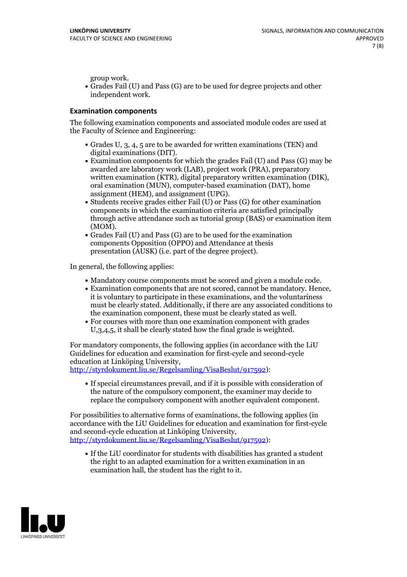group work.<br>• Grades Fail (U) and Pass (G) are to be used for degree projects and other independent work.

### **Examination components**

The following examination components and associated module codes are used at the Faculty of Science and Engineering:

- Grades U, 3, 4, 5 are to be awarded for written examinations (TEN) and
- digital examinations (DIT).<br>• Examination components for which the grades Fail (U) and Pass (G) may be awarded are laboratory work (LAB), project work (PRA), preparatory written examination (KTR), digital preparatory written examination (DIK), oral examination (MUN), computer-based examination (DAT), home
- assignment (HEM), and assignment (UPG).<br>• Students receive grades either Fail (U) or Pass (G) for other examination components in which the examination criteria are satisfied principally through active attendance such as tutorial group (BAS) or examination item
- (MOM).<br>• Grades Fail (U) and Pass (G) are to be used for the examination components Opposition (OPPO) and Attendance at thesis presentation (AUSK) (i.e. part of the degree project).

In general, the following applies:

- 
- Mandatory course components must be scored and given <sup>a</sup> module code. Examination components that are not scored, cannot be mandatory. Hence, it is voluntary to participate in these examinations, and the voluntariness must be clearly stated. Additionally, if there are any associated conditions to
- the examination component, these must be clearly stated as well.<br>• For courses with more than one examination component with grades U,3,4,5, it shall be clearly stated how the final grade is weighted.

For mandatory components, the following applies (in accordance with the LiU Guidelines for education and examination for first-cycle and second-cycle

[http://styrdokument.liu.se/Regelsamling/VisaBeslut/917592\)](http://styrdokument.liu.se/Regelsamling/VisaBeslut/917592):

If special circumstances prevail, and if it is possible with consideration of the nature of the compulsory component, the examiner may decide to replace the compulsory component with another equivalent component.

For possibilities to alternative forms of examinations, the following applies (in accordance with the LiU Guidelines for education and examination for first-cycle [http://styrdokument.liu.se/Regelsamling/VisaBeslut/917592\)](http://styrdokument.liu.se/Regelsamling/VisaBeslut/917592):

If the LiU coordinator for students with disabilities has granted a student the right to an adapted examination for a written examination in an examination hall, the student has the right to it.